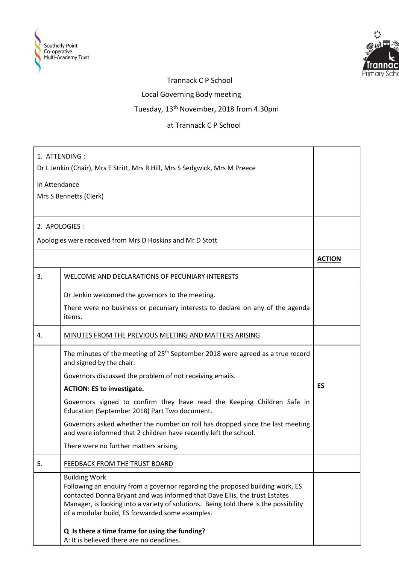



## Trannack C P School

Local Governing Body meeting

Tuesday, 13th November, 2018 from 4.30pm

at Trannack C P School

| 1. ATTENDING :                                                              |                                                                                                                                                                                                                                                                                                                                |               |  |  |
|-----------------------------------------------------------------------------|--------------------------------------------------------------------------------------------------------------------------------------------------------------------------------------------------------------------------------------------------------------------------------------------------------------------------------|---------------|--|--|
| Dr L Jenkin (Chair), Mrs E Stritt, Mrs R Hill, Mrs S Sedgwick, Mrs M Preece |                                                                                                                                                                                                                                                                                                                                |               |  |  |
| In Attendance                                                               |                                                                                                                                                                                                                                                                                                                                |               |  |  |
| Mrs S Bennetts (Clerk)                                                      |                                                                                                                                                                                                                                                                                                                                |               |  |  |
|                                                                             |                                                                                                                                                                                                                                                                                                                                |               |  |  |
| 2. APOLOGIES:                                                               |                                                                                                                                                                                                                                                                                                                                |               |  |  |
| Apologies were received from Mrs D Hoskins and Mr D Stott                   |                                                                                                                                                                                                                                                                                                                                |               |  |  |
|                                                                             |                                                                                                                                                                                                                                                                                                                                | <b>ACTION</b> |  |  |
| 3.                                                                          | <b>WELCOME AND DECLARATIONS OF PECUNIARY INTERESTS</b>                                                                                                                                                                                                                                                                         |               |  |  |
|                                                                             | Dr Jenkin welcomed the governors to the meeting.                                                                                                                                                                                                                                                                               |               |  |  |
|                                                                             | There were no business or pecuniary interests to declare on any of the agenda<br>items.                                                                                                                                                                                                                                        |               |  |  |
| 4.                                                                          | MINUTES FROM THE PREVIOUS MEETING AND MATTERS ARISING                                                                                                                                                                                                                                                                          |               |  |  |
|                                                                             | The minutes of the meeting of 25 <sup>th</sup> September 2018 were agreed as a true record<br>and signed by the chair.                                                                                                                                                                                                         |               |  |  |
|                                                                             | Governors discussed the problem of not receiving emails.                                                                                                                                                                                                                                                                       |               |  |  |
|                                                                             | <b>ACTION: ES to investigate.</b>                                                                                                                                                                                                                                                                                              | <b>ES</b>     |  |  |
|                                                                             | Governors signed to confirm they have read the Keeping Children Safe in<br>Education (September 2018) Part Two document.                                                                                                                                                                                                       |               |  |  |
|                                                                             | Governors asked whether the number on roll has dropped since the last meeting<br>and were informed that 2 children have recently left the school.                                                                                                                                                                              |               |  |  |
|                                                                             | There were no further matters arising.                                                                                                                                                                                                                                                                                         |               |  |  |
| 5.                                                                          | <b>FEEDBACK FROM THE TRUST BOARD</b>                                                                                                                                                                                                                                                                                           |               |  |  |
|                                                                             | <b>Building Work</b><br>Following an enquiry from a governor regarding the proposed building work, ES<br>contacted Donna Bryant and was informed that Dave Ellis, the trust Estates<br>Manager, is looking into a variety of solutions. Being told there is the possibility<br>of a modular build, ES forwarded some examples. |               |  |  |
|                                                                             | Q Is there a time frame for using the funding?<br>A: It is believed there are no deadlines.                                                                                                                                                                                                                                    |               |  |  |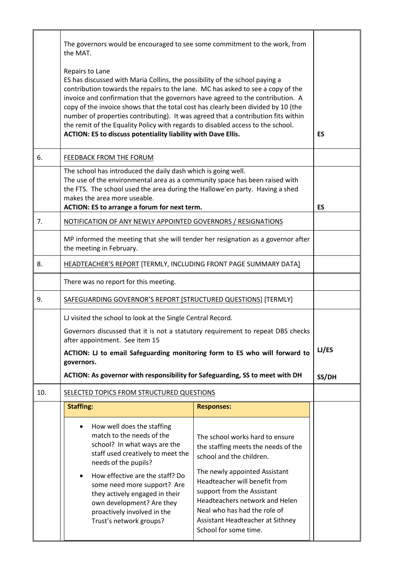|     | The governors would be encouraged to see some commitment to the work, from<br>the MAT.<br>Repairs to Lane<br>ES has discussed with Maria Collins, the possibility of the school paying a<br>contribution towards the repairs to the lane. MC has asked to see a copy of the<br>invoice and confirmation that the governors have agreed to the contribution. A<br>copy of the invoice shows that the total cost has clearly been divided by 10 (the<br>number of properties contributing). It was agreed that a contribution fits within<br>the remit of the Equality Policy with regards to disabled access to the school.<br>ACTION: ES to discuss potentiality liability with Dave Ellis. |                                                                                                                                                                                                                                                                                                                                   |  |  |
|-----|---------------------------------------------------------------------------------------------------------------------------------------------------------------------------------------------------------------------------------------------------------------------------------------------------------------------------------------------------------------------------------------------------------------------------------------------------------------------------------------------------------------------------------------------------------------------------------------------------------------------------------------------------------------------------------------------|-----------------------------------------------------------------------------------------------------------------------------------------------------------------------------------------------------------------------------------------------------------------------------------------------------------------------------------|--|--|
| 6.  | <b>FEEDBACK FROM THE FORUM</b>                                                                                                                                                                                                                                                                                                                                                                                                                                                                                                                                                                                                                                                              |                                                                                                                                                                                                                                                                                                                                   |  |  |
|     | The school has introduced the daily dash which is going well.<br>The use of the environmental area as a community space has been raised with<br>the FTS. The school used the area during the Hallowe'en party. Having a shed<br>makes the area more useable.<br>ACTION: ES to arrange a forum for next term.                                                                                                                                                                                                                                                                                                                                                                                |                                                                                                                                                                                                                                                                                                                                   |  |  |
| 7.  | NOTIFICATION OF ANY NEWLY APPOINTED GOVERNORS / RESIGNATIONS                                                                                                                                                                                                                                                                                                                                                                                                                                                                                                                                                                                                                                |                                                                                                                                                                                                                                                                                                                                   |  |  |
|     | MP informed the meeting that she will tender her resignation as a governor after<br>the meeting in February.                                                                                                                                                                                                                                                                                                                                                                                                                                                                                                                                                                                |                                                                                                                                                                                                                                                                                                                                   |  |  |
| 8.  | <b>HEADTEACHER'S REPORT [TERMLY, INCLUDING FRONT PAGE SUMMARY DATA]</b>                                                                                                                                                                                                                                                                                                                                                                                                                                                                                                                                                                                                                     |                                                                                                                                                                                                                                                                                                                                   |  |  |
|     | There was no report for this meeting.                                                                                                                                                                                                                                                                                                                                                                                                                                                                                                                                                                                                                                                       |                                                                                                                                                                                                                                                                                                                                   |  |  |
| 9.  | SAFEGUARDING GOVERNOR'S REPORT [STRUCTURED QUESTIONS] [TERMLY]                                                                                                                                                                                                                                                                                                                                                                                                                                                                                                                                                                                                                              |                                                                                                                                                                                                                                                                                                                                   |  |  |
|     | LJ visited the school to look at the Single Central Record.<br>Governors discussed that it is not a statutory requirement to repeat DBS checks<br>after appointment. See item 15<br>ACTION: LJ to email Safeguarding monitoring form to ES who will forward to<br>governors.<br>ACTION: As governor with responsibility for Safeguarding, SS to meet with DH                                                                                                                                                                                                                                                                                                                                |                                                                                                                                                                                                                                                                                                                                   |  |  |
| 10. | SELECTED TOPICS FROM STRUCTURED QUESTIONS                                                                                                                                                                                                                                                                                                                                                                                                                                                                                                                                                                                                                                                   |                                                                                                                                                                                                                                                                                                                                   |  |  |
|     | <b>Staffing:</b>                                                                                                                                                                                                                                                                                                                                                                                                                                                                                                                                                                                                                                                                            | <b>Responses:</b>                                                                                                                                                                                                                                                                                                                 |  |  |
|     | How well does the staffing<br>$\bullet$<br>match to the needs of the<br>school? In what ways are the<br>staff used creatively to meet the<br>needs of the pupils?<br>How effective are the staff? Do<br>$\bullet$<br>some need more support? Are<br>they actively engaged in their<br>own development? Are they<br>proactively involved in the<br>Trust's network groups?                                                                                                                                                                                                                                                                                                                   | The school works hard to ensure<br>the staffing meets the needs of the<br>school and the children.<br>The newly appointed Assistant<br>Headteacher will benefit from<br>support from the Assistant<br>Headteachers network and Helen<br>Neal who has had the role of<br>Assistant Headteacher at Sithney<br>School for some time. |  |  |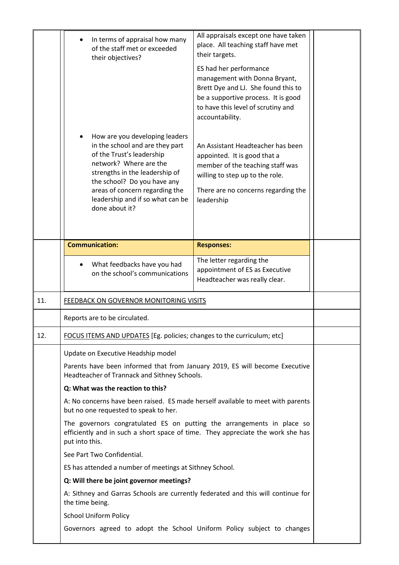|     | In terms of appraisal how many<br>of the staff met or exceeded<br>their objectives?<br>How are you developing leaders<br>in the school and are they part<br>of the Trust's leadership<br>network? Where are the<br>strengths in the leadership of<br>the school? Do you have any<br>areas of concern regarding the<br>leadership and if so what can be<br>done about it? | All appraisals except one have taken<br>place. All teaching staff have met<br>their targets.<br>ES had her performance<br>management with Donna Bryant,<br>Brett Dye and LJ. She found this to<br>be a supportive process. It is good<br>to have this level of scrutiny and<br>accountability.<br>An Assistant Headteacher has been<br>appointed. It is good that a<br>member of the teaching staff was<br>willing to step up to the role.<br>There are no concerns regarding the<br>leadership |  |  |  |
|-----|--------------------------------------------------------------------------------------------------------------------------------------------------------------------------------------------------------------------------------------------------------------------------------------------------------------------------------------------------------------------------|-------------------------------------------------------------------------------------------------------------------------------------------------------------------------------------------------------------------------------------------------------------------------------------------------------------------------------------------------------------------------------------------------------------------------------------------------------------------------------------------------|--|--|--|
|     | <b>Communication:</b>                                                                                                                                                                                                                                                                                                                                                    | <b>Responses:</b>                                                                                                                                                                                                                                                                                                                                                                                                                                                                               |  |  |  |
|     | What feedbacks have you had<br>on the school's communications                                                                                                                                                                                                                                                                                                            | The letter regarding the<br>appointment of ES as Executive<br>Headteacher was really clear.                                                                                                                                                                                                                                                                                                                                                                                                     |  |  |  |
| 11. | <b>FEEDBACK ON GOVERNOR MONITORING VISITS</b>                                                                                                                                                                                                                                                                                                                            |                                                                                                                                                                                                                                                                                                                                                                                                                                                                                                 |  |  |  |
|     | Reports are to be circulated.                                                                                                                                                                                                                                                                                                                                            |                                                                                                                                                                                                                                                                                                                                                                                                                                                                                                 |  |  |  |
| 12. | FOCUS ITEMS AND UPDATES [Eg. policies; changes to the curriculum; etc]                                                                                                                                                                                                                                                                                                   |                                                                                                                                                                                                                                                                                                                                                                                                                                                                                                 |  |  |  |
|     | Update on Executive Headship model                                                                                                                                                                                                                                                                                                                                       |                                                                                                                                                                                                                                                                                                                                                                                                                                                                                                 |  |  |  |
|     | Parents have been informed that from January 2019, ES will become Executive<br>Headteacher of Trannack and Sithney Schools.                                                                                                                                                                                                                                              |                                                                                                                                                                                                                                                                                                                                                                                                                                                                                                 |  |  |  |
|     | Q: What was the reaction to this?                                                                                                                                                                                                                                                                                                                                        |                                                                                                                                                                                                                                                                                                                                                                                                                                                                                                 |  |  |  |
|     | A: No concerns have been raised. ES made herself available to meet with parents<br>but no one requested to speak to her.                                                                                                                                                                                                                                                 |                                                                                                                                                                                                                                                                                                                                                                                                                                                                                                 |  |  |  |
|     | The governors congratulated ES on putting the arrangements in place so<br>efficiently and in such a short space of time. They appreciate the work she has<br>put into this.                                                                                                                                                                                              |                                                                                                                                                                                                                                                                                                                                                                                                                                                                                                 |  |  |  |
|     | See Part Two Confidential.                                                                                                                                                                                                                                                                                                                                               |                                                                                                                                                                                                                                                                                                                                                                                                                                                                                                 |  |  |  |
|     | ES has attended a number of meetings at Sithney School.                                                                                                                                                                                                                                                                                                                  |                                                                                                                                                                                                                                                                                                                                                                                                                                                                                                 |  |  |  |
|     | Q: Will there be joint governor meetings?                                                                                                                                                                                                                                                                                                                                |                                                                                                                                                                                                                                                                                                                                                                                                                                                                                                 |  |  |  |
|     | A: Sithney and Garras Schools are currently federated and this will continue for<br>the time being.                                                                                                                                                                                                                                                                      |                                                                                                                                                                                                                                                                                                                                                                                                                                                                                                 |  |  |  |
|     | <b>School Uniform Policy</b>                                                                                                                                                                                                                                                                                                                                             |                                                                                                                                                                                                                                                                                                                                                                                                                                                                                                 |  |  |  |
|     | Governors agreed to adopt the School Uniform Policy subject to changes                                                                                                                                                                                                                                                                                                   |                                                                                                                                                                                                                                                                                                                                                                                                                                                                                                 |  |  |  |